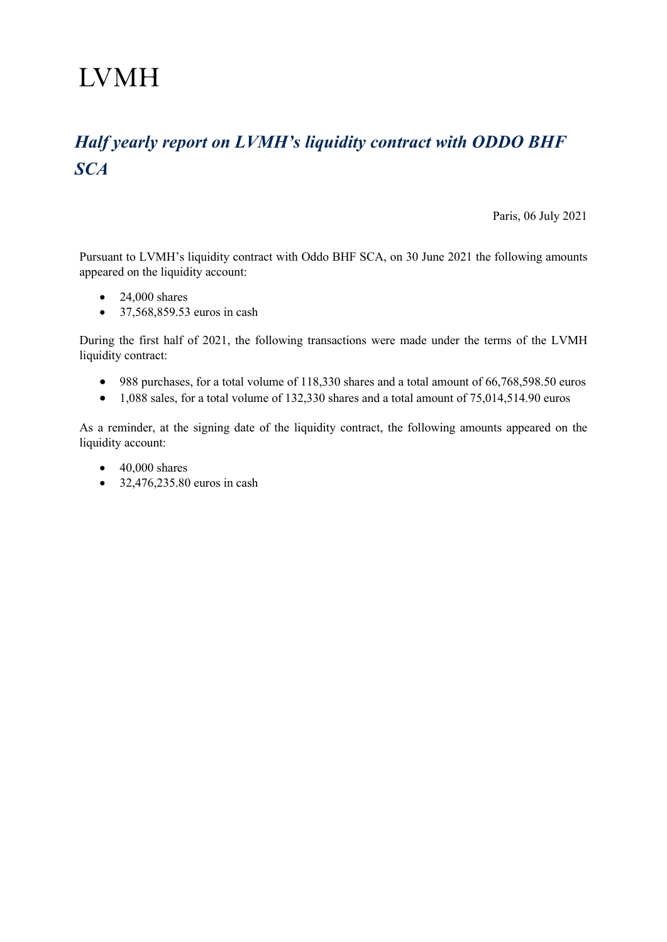## **LVMH**

## *Half yearly report on LVMH's liquidity contract with ODDO BHF SCA*

Paris, 06 July 2021

Pursuant to LVMH's liquidity contract with Oddo BHF SCA, on 30 June 2021 the following amounts appeared on the liquidity account:

- 24,000 shares
- 37,568,859.53 euros in cash

During the first half of 2021, the following transactions were made under the terms of the LVMH liquidity contract:

- 988 purchases, for a total volume of 118,330 shares and a total amount of 66,768,598.50 euros
- 1,088 sales, for a total volume of 132,330 shares and a total amount of 75,014,514.90 euros

As a reminder, at the signing date of the liquidity contract, the following amounts appeared on the liquidity account:

- $\bullet$  40,000 shares
- 32,476,235.80 euros in cash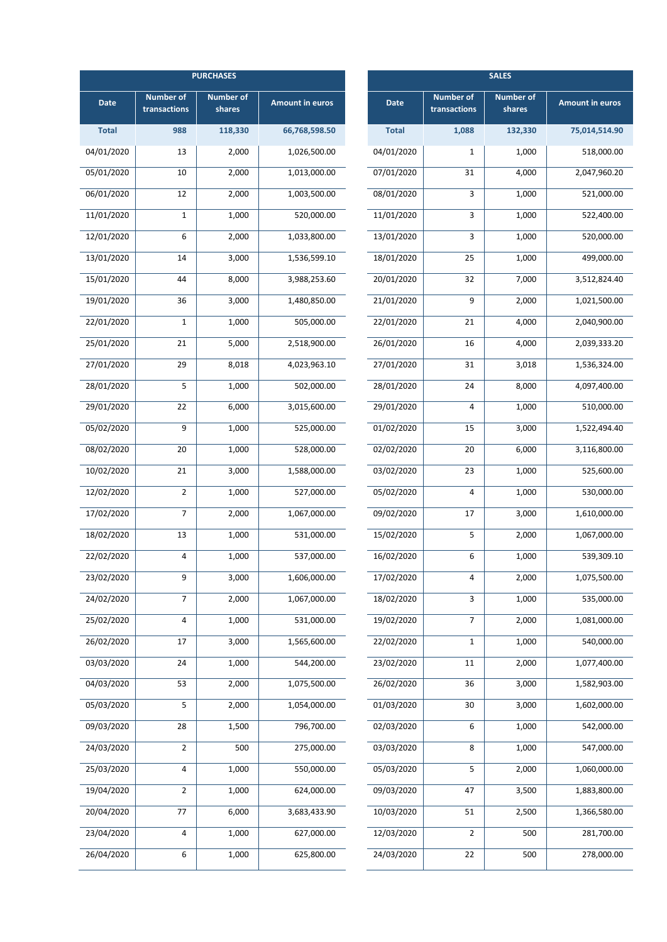| <b>PURCHASES</b> |                                  |                            |                        | <b>SALES</b> |                                  |                            |                        |
|------------------|----------------------------------|----------------------------|------------------------|--------------|----------------------------------|----------------------------|------------------------|
| <b>Date</b>      | <b>Number of</b><br>transactions | <b>Number of</b><br>shares | <b>Amount in euros</b> | <b>Date</b>  | <b>Number of</b><br>transactions | <b>Number of</b><br>shares | <b>Amount in euros</b> |
| <b>Total</b>     | 988                              | 118,330                    | 66,768,598.50          | <b>Total</b> | 1,088                            | 132,330                    | 75,014,514.90          |
| 04/01/2020       | 13                               | 2,000                      | 1,026,500.00           | 04/01/2020   | $\mathbf{1}$                     | 1,000                      | 518,000.00             |
| 05/01/2020       | 10                               | 2,000                      | 1,013,000.00           | 07/01/2020   | 31                               | 4,000                      | 2,047,960.20           |
| 06/01/2020       | 12                               | 2,000                      | 1,003,500.00           | 08/01/2020   | 3                                | 1,000                      | 521,000.00             |
| 11/01/2020       | $\mathbf{1}$                     | 1,000                      | 520,000.00             | 11/01/2020   | 3                                | 1,000                      | 522,400.00             |
| 12/01/2020       | 6                                | 2,000                      | 1,033,800.00           | 13/01/2020   | 3                                | 1,000                      | 520,000.00             |
| 13/01/2020       | 14                               | 3,000                      | 1,536,599.10           | 18/01/2020   | 25                               | 1,000                      | 499,000.00             |
| 15/01/2020       | 44                               | 8,000                      | 3,988,253.60           | 20/01/2020   | 32                               | 7,000                      | 3,512,824.40           |
| 19/01/2020       | 36                               | 3,000                      | 1,480,850.00           | 21/01/2020   | 9                                | 2,000                      | 1,021,500.00           |
| 22/01/2020       | $\mathbf 1$                      | 1,000                      | 505,000.00             | 22/01/2020   | 21                               | 4,000                      | 2,040,900.00           |
| 25/01/2020       | 21                               | 5,000                      | 2,518,900.00           | 26/01/2020   | 16                               | 4,000                      | 2,039,333.20           |
| 27/01/2020       | 29                               | 8,018                      | 4,023,963.10           | 27/01/2020   | 31                               | 3,018                      | 1,536,324.00           |
| 28/01/2020       | 5                                | 1,000                      | 502,000.00             | 28/01/2020   | 24                               | 8,000                      | 4,097,400.00           |
| 29/01/2020       | 22                               | 6,000                      | 3,015,600.00           | 29/01/2020   | 4                                | 1,000                      | 510,000.00             |
| 05/02/2020       | 9                                | 1,000                      | 525,000.00             | 01/02/2020   | 15                               | 3,000                      | 1,522,494.40           |
| 08/02/2020       | 20                               | 1,000                      | 528,000.00             | 02/02/2020   | 20                               | 6,000                      | 3,116,800.00           |
| 10/02/2020       | 21                               | 3,000                      | 1,588,000.00           | 03/02/2020   | 23                               | 1,000                      | 525,600.00             |
| 12/02/2020       | $\overline{2}$                   | 1,000                      | 527,000.00             | 05/02/2020   | $\overline{4}$                   | 1,000                      | 530,000.00             |
| 17/02/2020       | $\overline{7}$                   | 2,000                      | 1,067,000.00           | 09/02/2020   | 17                               | 3,000                      | 1,610,000.00           |
| 18/02/2020       | 13                               | 1,000                      | 531,000.00             | 15/02/2020   | 5                                | 2,000                      | 1,067,000.00           |
| 22/02/2020       | $\overline{4}$                   | 1,000                      | 537,000.00             | 16/02/2020   | 6                                | 1,000                      | 539,309.10             |
| 23/02/2020       | 9                                | 3,000                      | 1,606,000.00           | 17/02/2020   | 4                                | 2,000                      | 1,075,500.00           |
| 24/02/2020       | $\overline{7}$                   | 2,000                      | 1,067,000.00           | 18/02/2020   | 3                                | 1,000                      | 535,000.00             |
| 25/02/2020       | 4                                | 1,000                      | 531,000.00             | 19/02/2020   | $\overline{7}$                   | 2,000                      | 1,081,000.00           |
| 26/02/2020       | 17                               | 3,000                      | 1,565,600.00           | 22/02/2020   | $\mathbf{1}$                     | 1,000                      | 540,000.00             |
| 03/03/2020       | 24                               | 1,000                      | 544,200.00             | 23/02/2020   | $11\,$                           | 2,000                      | 1,077,400.00           |
| 04/03/2020       | 53                               | 2,000                      | 1,075,500.00           | 26/02/2020   | 36                               | 3,000                      | 1,582,903.00           |
| 05/03/2020       | 5                                | 2,000                      | 1,054,000.00           | 01/03/2020   | 30                               | 3,000                      | 1,602,000.00           |
| 09/03/2020       | 28                               | 1,500                      | 796,700.00             | 02/03/2020   | 6                                | 1,000                      | 542,000.00             |
| 24/03/2020       | $\overline{2}$                   | 500                        | 275,000.00             | 03/03/2020   | 8                                | 1,000                      | 547,000.00             |
| 25/03/2020       | $\pmb{4}$                        | 1,000                      | 550,000.00             | 05/03/2020   | 5                                | 2,000                      | 1,060,000.00           |
| 19/04/2020       | $\overline{2}$                   | 1,000                      | 624,000.00             | 09/03/2020   | 47                               | 3,500                      | 1,883,800.00           |
| 20/04/2020       | 77                               | 6,000                      | 3,683,433.90           | 10/03/2020   | 51                               | 2,500                      | 1,366,580.00           |
| 23/04/2020       | 4                                | 1,000                      | 627,000.00             | 12/03/2020   | $\overline{2}$                   | 500                        | 281,700.00             |
| 26/04/2020       | 6                                | 1,000                      | 625,800.00             | 24/03/2020   | 22                               | 500                        | 278,000.00             |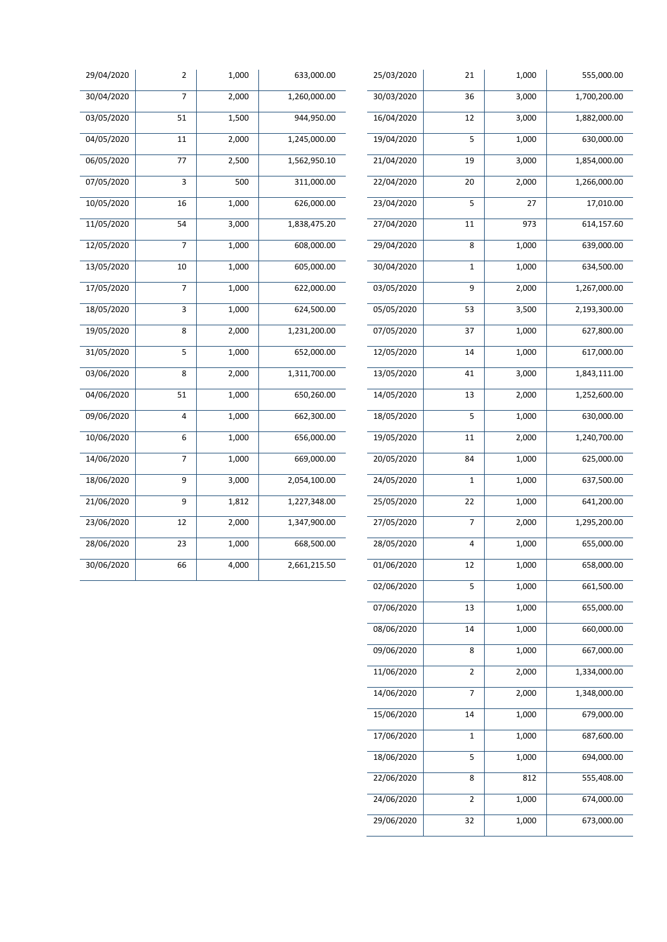| 29/04/2020 | $\overline{2}$  | 1,000 | 633,000.00   | 25/03/2020 | 21             | 1,000              | 555,000.00   |
|------------|-----------------|-------|--------------|------------|----------------|--------------------|--------------|
| 30/04/2020 | $\overline{7}$  | 2,000 | 1,260,000.00 | 30/03/2020 | 36             | 3,000              | 1,700,200.00 |
| 03/05/2020 | 51              | 1,500 | 944,950.00   | 16/04/2020 | 12             | 3,000              | 1,882,000.00 |
| 04/05/2020 | 11              | 2,000 | 1,245,000.00 | 19/04/2020 | 5              | 1,000              | 630,000.00   |
| 06/05/2020 | $\overline{77}$ | 2,500 | 1,562,950.10 | 21/04/2020 | 19             | 3,000              | 1,854,000.00 |
| 07/05/2020 | 3               | 500   | 311,000.00   | 22/04/2020 | 20             | 2,000              | 1,266,000.00 |
| 10/05/2020 | 16              | 1,000 | 626,000.00   | 23/04/2020 | 5              | 27                 | 17,010.00    |
| 11/05/2020 | 54              | 3,000 | 1,838,475.20 | 27/04/2020 | $11\,$         | 973                | 614,157.60   |
| 12/05/2020 | $\overline{7}$  | 1,000 | 608,000.00   | 29/04/2020 | 8              | 1,000              | 639,000.00   |
| 13/05/2020 | 10              | 1,000 | 605,000.00   | 30/04/2020 | $\mathbf 1$    | 1,000              | 634,500.00   |
| 17/05/2020 | $\overline{7}$  | 1,000 | 622,000.00   | 03/05/2020 | 9              | $\overline{2,000}$ | 1,267,000.00 |
| 18/05/2020 | 3               | 1,000 | 624,500.00   | 05/05/2020 | 53             | 3,500              | 2,193,300.00 |
| 19/05/2020 | $\bf 8$         | 2,000 | 1,231,200.00 | 07/05/2020 | 37             | 1,000              | 627,800.00   |
| 31/05/2020 | 5               | 1,000 | 652,000.00   | 12/05/2020 | 14             | 1,000              | 617,000.00   |
| 03/06/2020 | 8               | 2,000 | 1,311,700.00 | 13/05/2020 | 41             | 3,000              | 1,843,111.00 |
| 04/06/2020 | 51              | 1,000 | 650,260.00   | 14/05/2020 | 13             | 2,000              | 1,252,600.00 |
| 09/06/2020 | 4               | 1,000 | 662,300.00   | 18/05/2020 | 5              | 1,000              | 630,000.00   |
| 10/06/2020 | 6               | 1,000 | 656,000.00   | 19/05/2020 | 11             | 2,000              | 1,240,700.00 |
| 14/06/2020 | $\overline{7}$  | 1,000 | 669,000.00   | 20/05/2020 | 84             | 1,000              | 625,000.00   |
| 18/06/2020 | $\overline{9}$  | 3,000 | 2,054,100.00 | 24/05/2020 | $\mathbf 1$    | 1,000              | 637,500.00   |
| 21/06/2020 | 9               | 1,812 | 1,227,348.00 | 25/05/2020 | 22             | 1,000              | 641,200.00   |
| 23/06/2020 | 12              | 2,000 | 1,347,900.00 | 27/05/2020 | $\overline{7}$ | 2,000              | 1,295,200.00 |
| 28/06/2020 | 23              | 1,000 | 668,500.00   | 28/05/2020 | 4              | 1,000              | 655,000.00   |
| 30/06/2020 | 66              | 4,000 | 2,661,215.50 | 01/06/2020 | $12\,$         | 1,000              | 658,000.00   |
|            |                 |       |              | 02/06/2020 | 5              | 1,000              | 661,500.00   |
|            |                 |       |              | 07/06/2020 | 13             | 1,000              | 655,000.00   |
|            |                 |       |              | 08/06/2020 | 14             | 1,000              | 660,000.00   |
|            |                 |       |              | 09/06/2020 | $\bf 8$        | 1,000              | 667,000.00   |
|            |                 |       |              | 11/06/2020 | $\mathbf 2$    | 2,000              | 1,334,000.00 |
|            |                 |       |              | 14/06/2020 | $\overline{7}$ | 2,000              | 1,348,000.00 |
|            |                 |       |              | 15/06/2020 | 14             | 1,000              | 679,000.00   |
|            |                 |       |              | 17/06/2020 | $1\,$          | 1,000              | 687,600.00   |

18/06/2020 5 1,000 694,000.00 22/06/2020 8 812 555,408.00

24/06/2020 2 1,000 674,000.00 29/06/2020 32 1,000 673,000.00